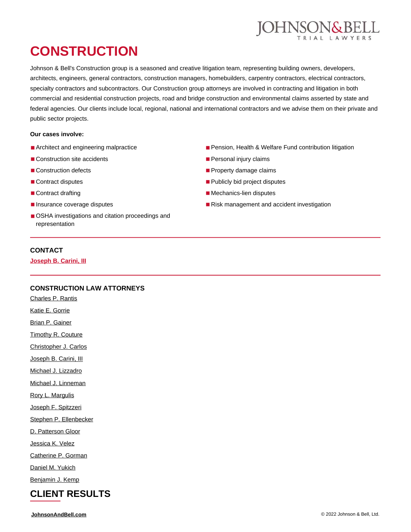

# **CONSTRUCTION**

Johnson & Bell's Construction group is a seasoned and creative litigation team, representing building owners, developers, architects, engineers, general contractors, construction managers, homebuilders, carpentry contractors, electrical contractors, specialty contractors and subcontractors. Our Construction group attorneys are involved in contracting and litigation in both commercial and residential construction projects, road and bridge construction and environmental claims asserted by state and federal agencies. Our clients include local, regional, national and international contractors and we advise them on their private and public sector projects.

#### **Our cases involve:**

- Architect and engineering malpractice
- Construction site accidents
- Construction defects
- Contract disputes
- Contract drafting
- Insurance coverage disputes
- OSHA investigations and citation proceedings and representation
- **CONTACT**

**[Joseph B. Carini, III](https://johnsonandbell.com/attorneys/joseph-b-carini-iii/)**

### **CONSTRUCTION LAW ATTORNEYS**

[Charles P. Rantis](https://johnsonandbell.com/attorneys/charles-p-rantis/)

[Katie E. Gorrie](https://johnsonandbell.com/attorneys/katie-e-gorrie/)

[Brian P. Gainer](https://johnsonandbell.com/attorneys/brian-p-gainer/)

[Timothy R. Couture](https://johnsonandbell.com/attorneys/timothy-r-couture/)

[Christopher J. Carlos](https://johnsonandbell.com/attorneys/christopher-j-carlos/)

[Joseph B. Carini, III](https://johnsonandbell.com/attorneys/joseph-b-carini-iii/)

[Michael J. Lizzadro](https://johnsonandbell.com/attorneys/michael-j-lizzadro/)

[Michael J. Linneman](https://johnsonandbell.com/attorneys/michael-j-linneman/)

[Rory L. Margulis](https://johnsonandbell.com/attorneys/rory-l-margulis/)

[Joseph F. Spitzzeri](https://johnsonandbell.com/attorneys/joseph-f-spitzzeri/)

[Stephen P. Ellenbecker](https://johnsonandbell.com/attorneys/stephen-p-ellenbecker/)

[D. Patterson Gloor](https://johnsonandbell.com/attorneys/d-patterson-gloor/)

[Jessica K. Velez](https://johnsonandbell.com/attorneys/jessica-k-velez/)

[Catherine P. Gorman](https://johnsonandbell.com/attorneys/catherine-p-gorman/)

[Daniel M. Yukich](https://johnsonandbell.com/attorneys/daniel-m-yukich/)

[Benjamin J. Kemp](https://johnsonandbell.com/attorneys/benjamin-j-kemp/)

# **CLIENT RESULTS**

**[JohnsonAndBell.com](https://johnsonandbell.com/)** © 2022 Johnson & Bell, Ltd.

- Pension, Health & Welfare Fund contribution litigation
- Personal injury claims
- Property damage claims
- Publicly bid project disputes
- Mechanics-lien disputes
- Risk management and accident investigation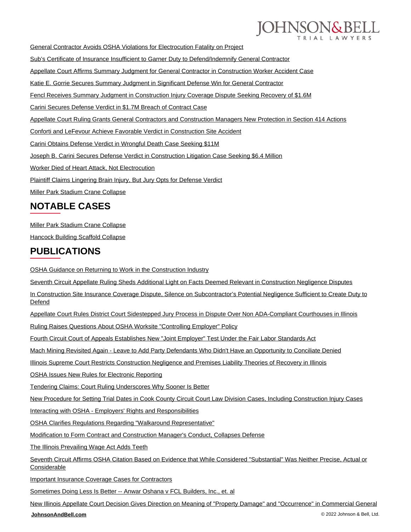

[General Contractor Avoids OSHA Violations for Electrocution Fatality on Project](https://johnsonandbell.com/general-contractor-avoids-osha-violations-for-electrocution-fatality-on-project/)

[Sub's Certificate of Insurance Insufficient to Garner Duty to Defend/Indemnify General Contractor](https://johnsonandbell.com/subs-certificate-of-insurance-insufficient-to-garner-duty-to-defend-indemnify-gc/)

[Appellate Court Affirms Summary Judgment for General Contractor in Construction Worker Accident Case](https://johnsonandbell.com/appellate-court-affirms-summary-judgment-for-general-contractor-in-construction-worker-accident-case/)

[Katie E. Gorrie Secures Summary Judgment in Significant Defense Win for General Contractor](https://johnsonandbell.com/katie-e-gorrie-secures-summary-judgment-in-substantial-defense-win-for-general-contractor/)

[Fencl Receives Summary Judgment in Construction Injury Coverage Dispute Seeking Recovery of \\$1.6M](https://johnsonandbell.com/fencl-receives-summary-judgment-in-construction-injury-coverage-dispute-seeking-recovery-of-1-6m/)

[Carini Secures Defense Verdict in \\$1.7M Breach of Contract Case](https://johnsonandbell.com/joseph-b-carini-iii-secures-defense-verdict-in-1-7-m-breach-of-contract-case/)

[Appellate Court Ruling Grants General Contractors and Construction Managers New Protection in Section 414 Actions](https://johnsonandbell.com/appellate-court-ruling-grants-general-contractors-construction-managers-new-protection-section-414-actions/)

[Conforti and LeFevour Achieve Favorable Verdict in Construction Site Accident](https://johnsonandbell.com/conforti-and-lefevour-receive-favorable-verdict-for-the-defense/)

[Carini Obtains Defense Verdict in Wrongful Death Case Seeking \\$11M](https://johnsonandbell.com/carini-obtains-not-guilty-verdict-in-wrongful-death-case/)

[Joseph B. Carini Secures Defense Verdict in Construction Litigation Case Seeking \\$6.4 Million](https://johnsonandbell.com/carini-receives-not-guilty-verdict-on-behalf-of-electric-company/)

[Worker Died of Heart Attack, Not Electrocution](https://johnsonandbell.com/worker-died-of-heart-attack-not-electrocution/)

[Plaintiff Claims Lingering Brain Injury, But Jury Opts for Defense Verdict](https://johnsonandbell.com/plaintiff-claims-lingering-brain-injury-but-jury-opts-for-defense-verdict/)

[Miller Park Stadium Crane Collapse](https://johnsonandbell.com/miller-park-stadium-crane-collapse/)

## **NOTABLE CASES**

[Miller Park Stadium Crane Collapse](https://johnsonandbell.com/miller-park-stadium-crane-collapse/)

[Hancock Building Scaffold Collapse](https://johnsonandbell.com/hancock-building-scaffold-collapse/)

### **PUBLICATIONS**

[OSHA Guidance on Returning to Work in the Construction Industry](https://johnsonandbell.com/osha-guidance-on-returning-to-work-in-the-construction-industry/)

[Seventh Circuit Appellate Ruling Sheds Additional Light on Facts Deemed Relevant in Construction Negligence Disputes](https://johnsonandbell.com/seventh-circuit-appellate-ruling-sheds-additional-light-on-facts-deemed-relevant-in-construction-negligence-disputes/)

[In Construction Site Insurance Coverage Dispute, Silence on Subcontractor's Potential Negligence Sufficient to Create Duty to](https://johnsonandbell.com/in-construction-site-insurance-coverage-dispute-silence-on-subcontractors-potential-negligence-sufficient-to-create-duty-to-defend/) [Defend](https://johnsonandbell.com/in-construction-site-insurance-coverage-dispute-silence-on-subcontractors-potential-negligence-sufficient-to-create-duty-to-defend/)

[Appellate Court Rules District Court Sidestepped Jury Process in Dispute Over Non ADA-Compliant Courthouses in Illinois](https://johnsonandbell.com/appellate-court-rules-district-court-sidestepped-jury-process-in-dispute-over-non-ada-compliant-courthouses-in-illinois/)

[Ruling Raises Questions About OSHA Worksite "Controlling Employer" Policy](https://johnsonandbell.com/ruling-raises-questions-about-osha-worksite-controlling-employer-policy-2/)

[Fourth Circuit Court of Appeals Establishes New "Joint Employer" Test Under the Fair Labor Standards Act](https://johnsonandbell.com/fourth-circuit-court-of-appeals-establishes-new-joint-employer-test-under-the-fair-labor-standards-act/)

[Mach Mining Revisited Again - Leave to Add Party Defendants Who Didn't Have an Opportunity to Conciliate Denied](https://johnsonandbell.com/mach-mining-revisited-again-leave-to-add-party-defendants-who-didnt-have-an-opportunity-to-conciliate-denied/)

[Illinois Supreme Court Restricts Construction Negligence and Premises Liability Theories of Recovery in Illinois](https://johnsonandbell.com/illinois-supreme-court-restricts-construction-negligence-and-premises-liability-theories-of-recovery-in-illinois/)

[OSHA Issues New Rules for Electronic Reporting](https://johnsonandbell.com/osha-rules-electronic-reporting/)

[Tendering Claims: Court Ruling Underscores Why Sooner Is Better](https://johnsonandbell.com/tendering-claims-why-sooner-is-better/)

[New Procedure for Setting Trial Dates in Cook County Circuit Court Law Division Cases, Including Construction Injury Cases](https://johnsonandbell.com/new-procedure-for-setting-trial-dates-in-cook-county-circuit-court-law-division-cases-including-construction-injury-cases/)

[Interacting with OSHA - Employers' Rights and Responsibilities](https://johnsonandbell.com/interacting-with-osha-employers-rights-and-responsibilities/)

[OSHA Clarifies Regulations Regarding "Walkaround Representative"](https://johnsonandbell.com/osha-clarifies-regulations-regarding-walkaround-representative/)

[Modification to Form Contract and Construction Manager's Conduct, Collapses Defense](https://johnsonandbell.com/modification-to-form-contract-and-construction-managers-conduct-collapses-defense/)

[The Illinois Prevailing Wage Act Adds Teeth](https://johnsonandbell.com/the-illinois-prevailing-wage-act-adds-teeth/)

[Seventh Circuit Affirms OSHA Citation Based on Evidence that While Considered "Substantial" Was Neither Precise, Actual or](https://johnsonandbell.com/united-states-court-of-appeals-for-seventh-circuit-affirms-ohsa-citation-based-on-evidence-that-while-considered-substantial-was-neither-precise-actual-or-considerable/) **[Considerable](https://johnsonandbell.com/united-states-court-of-appeals-for-seventh-circuit-affirms-ohsa-citation-based-on-evidence-that-while-considered-substantial-was-neither-precise-actual-or-considerable/)** 

[Important Insurance Coverage Cases for Contractors](https://johnsonandbell.com/important-insurance-coverage-cases-for-contractors/)

[Sometimes Doing Less Is Better -- Anwar Oshana v FCL Builders, Inc., et. al](https://johnsonandbell.com/sometimes-doing-less-is-better-anwar-oshana-v-fcl-builders-inc-et-al/)

[New Illinois Appellate Court Decision Gives Direction on Meaning of "Property Damage" and "Occurrence" in Commercial General](https://johnsonandbell.com/it-occurred-so-there-is-an-occurrence-right-new-illinois-appellate-court-decision-gives-direction-on-meaning-of-property-damage-and-occurrence-in-commercial-general-liability-policies/)